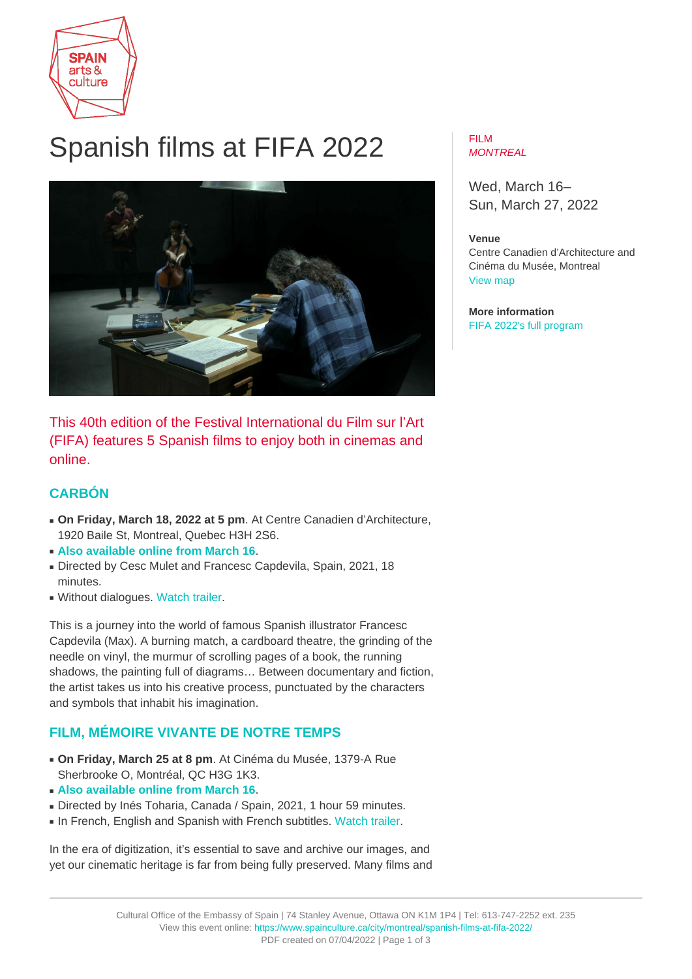

# Spanish films at FIFA 2022



This 40th edition of the Festival International du Film sur l'Art (FIFA) features 5 Spanish films to enjoy both in cinemas and online.

## **[CARBÓN](https://lefifa.com/en/catalog/carbon)**

- **On Friday, March 18, 2022 at 5 pm**. At Centre Canadien d'Architecture, 1920 Baile St, Montreal, Quebec H3H 2S6.
- **[Also available online from March 16](https://lefifa.com/en/catalog/carbon)**.
- Directed by Cesc Mulet and Francesc Capdevila, Spain, 2021, 18 minutes.
- Without dialogues. [Watch trailer.](https://vimeo.com/679396471)

This is a journey into the world of famous Spanish illustrator Francesc Capdevila (Max). A burning match, a cardboard theatre, the grinding of the needle on vinyl, the murmur of scrolling pages of a book, the running shadows, the painting full of diagrams… Between documentary and fiction, the artist takes us into his creative process, punctuated by the characters and symbols that inhabit his imagination.

## **[FILM, MÉMOIRE VIVANTE DE NOTRE TEMPS](https://lefifa.com/en/catalog/film-memoire-vivante-de-notre-temps)**

- **On Friday, March 25 at 8 pm**. At Cinéma du Musée, 1379-A Rue Sherbrooke O, Montréal, QC H3G 1K3.
- **[Also available online from March 16](https://lefifa.com/en/catalog/film-memoire-vivante-de-notre-temps)**.
- Directed by Inés Toharia, Canada / Spain, 2021, 1 hour 59 minutes.
- In French, English and Spanish with French subtitles. [Watch trailer](https://vimeo.com/679398702).

In the era of digitization, it's essential to save and archive our images, and yet our cinematic heritage is far from being fully preserved. Many films and

#### FILM **MONTREAL**

Wed, March 16– Sun, March 27, 2022

## **Venue**

Centre Canadien d'Architecture and Cinéma du Musée, Montreal [View map](https://maps.google.com/maps?q=Centre+Canadien+d%E2%80%99Architecture%2C+1920+Baile+St%2C+Montreal%2C+Quebec+H3H+2S6)

**More information** [FIFA 2022's full program](https://lefifa.com/en/catalog?editions=19152123)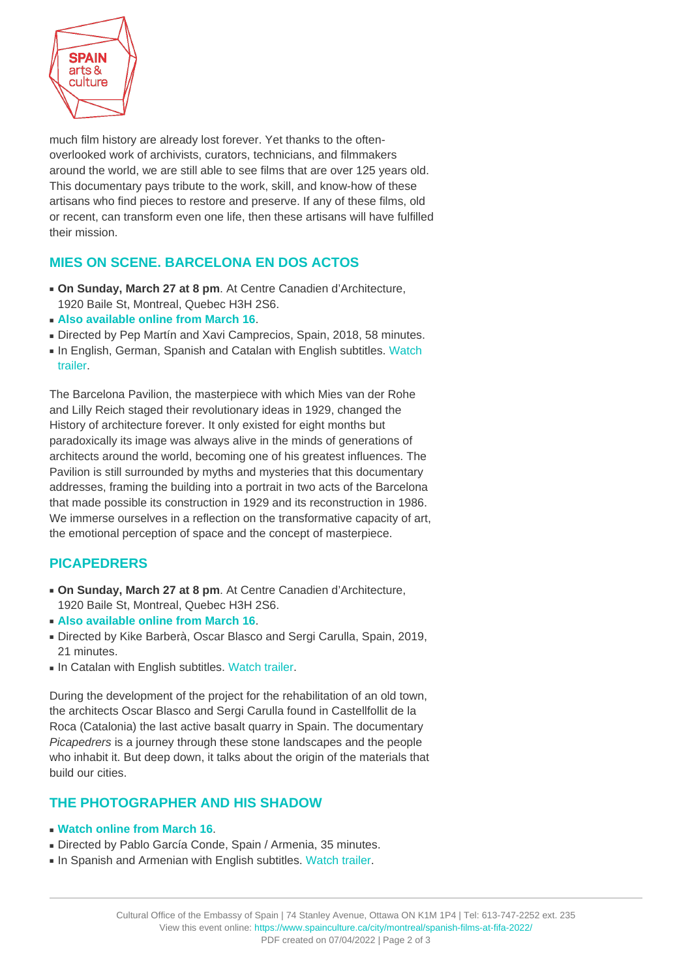

much film history are already lost forever. Yet thanks to the oftenoverlooked work of archivists, curators, technicians, and filmmakers around the world, we are still able to see films that are over 125 years old. This documentary pays tribute to the work, skill, and know-how of these artisans who find pieces to restore and preserve. If any of these films, old or recent, can transform even one life, then these artisans will have fulfilled their mission.

## **[MIES ON SCENE. BARCELONA EN DOS ACTOS](https://lefifa.com/en/catalog/mies-on-scene-barcelona-en-dos-actos)**

- **On Sunday, March 27 at 8 pm**. At Centre Canadien d'Architecture, 1920 Baile St, Montreal, Quebec H3H 2S6.
- **[Also available online from March 16](https://lefifa.com/en/catalog/mies-on-scene-barcelona-en-dos-actos)**.
- Directed by Pep Martín and Xavi Camprecios, Spain, 2018, 58 minutes.
- In English, German, Spanish and Catalan with English subtitles. [Watch](https://vimeo.com/679399793) [trailer.](https://vimeo.com/679399793)

The Barcelona Pavilion, the masterpiece with which Mies van der Rohe and Lilly Reich staged their revolutionary ideas in 1929, changed the History of architecture forever. It only existed for eight months but paradoxically its image was always alive in the minds of generations of architects around the world, becoming one of his greatest influences. The Pavilion is still surrounded by myths and mysteries that this documentary addresses, framing the building into a portrait in two acts of the Barcelona that made possible its construction in 1929 and its reconstruction in 1986. We immerse ourselves in a reflection on the transformative capacity of art, the emotional perception of space and the concept of masterpiece.

## **[PICAPEDRERS](https://lefifa.com/en/catalog/picapedrers)**

- **On Sunday, March 27 at 8 pm**. At Centre Canadien d'Architecture, 1920 Baile St, Montreal, Quebec H3H 2S6.
- **[Also available online from March 16](https://lefifa.com/en/catalog/picapedrers)**.
- Directed by Kike Barberà, Oscar Blasco and Sergi Carulla, Spain, 2019, 21 minutes.
- In Catalan with English subtitles. [Watch trailer.](https://vimeo.com/679395634)

During the development of the project for the rehabilitation of an old town, the architects Oscar Blasco and Sergi Carulla found in Castellfollit de la Roca (Catalonia) the last active basalt quarry in Spain. The documentary Picapedrers is a journey through these stone landscapes and the people who inhabit it. But deep down, it talks about the origin of the materials that build our cities.

### **[THE PHOTOGRAPHER AND HIS SHADOW](https://lefifa.com/en/catalog/the-photographer-and-his-shadow-a-portrait-of-gagik-harutyunyan)**

- **[Watch online from March 16](https://lefifa.com/en/catalog/film-memoire-vivante-de-notre-temps)**.
- Directed by Pablo García Conde, Spain / Armenia, 35 minutes.
- In Spanish and Armenian with English subtitles. [Watch trailer](https://vimeo.com/679398908).